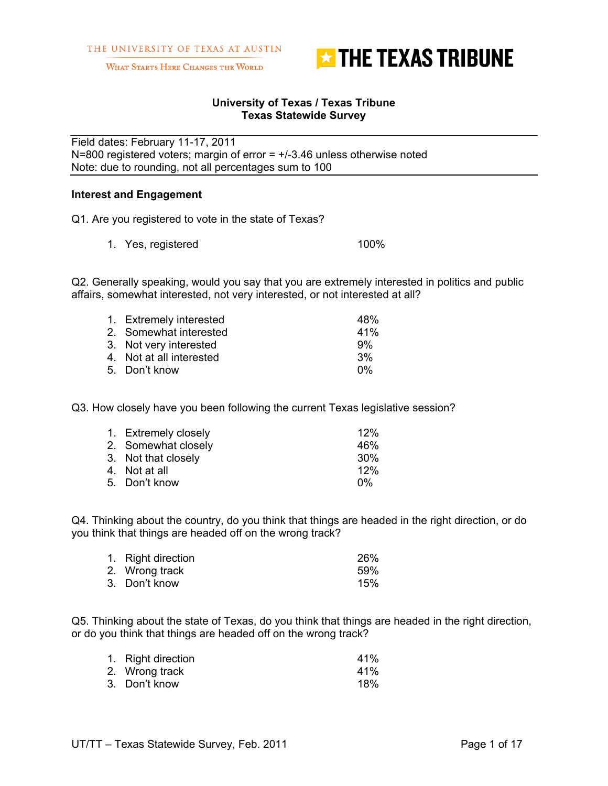

WHAT STARTS HERE CHANGES THE WORLD

#### **University of Texas / Texas Tribune Texas Statewide Survey**

Field dates: February 11-17, 2011 N=800 registered voters; margin of error =  $+/3.46$  unless otherwise noted Note: due to rounding, not all percentages sum to 100

#### **Interest and Engagement**

Q1. Are you registered to vote in the state of Texas?

1. Yes, registered 100%

Q2. Generally speaking, would you say that you are extremely interested in politics and public affairs, somewhat interested, not very interested, or not interested at all?

| 1. Extremely interested  | 48% |
|--------------------------|-----|
| 2. Somewhat interested   | 41% |
| 3. Not very interested   | 9%  |
| 4. Not at all interested | 3%  |
| 5. Don't know            | በ%  |

Q3. How closely have you been following the current Texas legislative session?

| 12%             |
|-----------------|
| 46%             |
| 30 <sup>%</sup> |
| 12%             |
| በ%              |
|                 |

Q4. Thinking about the country, do you think that things are headed in the right direction, or do you think that things are headed off on the wrong track?

| 1. Right direction | 26% |
|--------------------|-----|
| 2. Wrong track     | 59% |
| 3. Don't know      | 15% |

Q5. Thinking about the state of Texas, do you think that things are headed in the right direction, or do you think that things are headed off on the wrong track?

| 1. Right direction | 41 <sup>%</sup> |
|--------------------|-----------------|
| 2. Wrong track     | 41%             |
| 3. Don't know      | 18%             |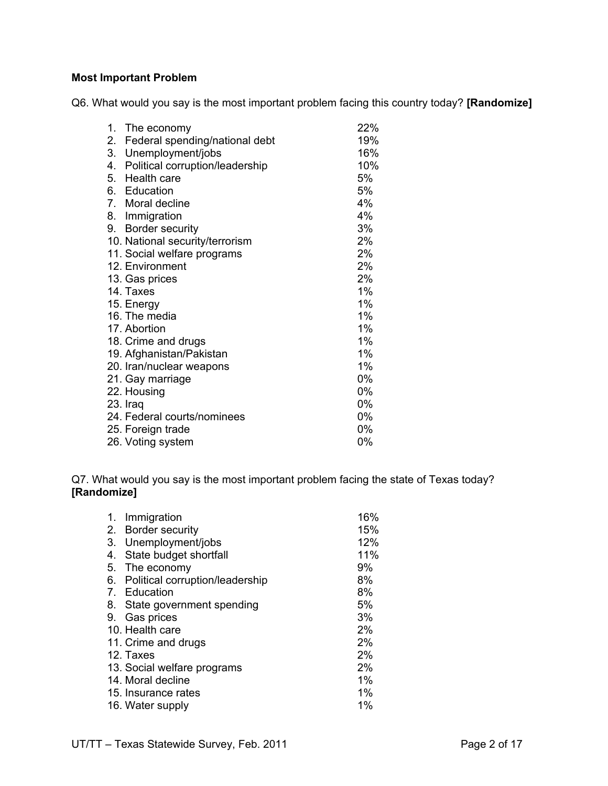## **Most Important Problem**

Q6. What would you say is the most important problem facing this country today? **[Randomize]**

| 1. | The economy                     | 22% |
|----|---------------------------------|-----|
| 2. | Federal spending/national debt  | 19% |
| 3. | Unemployment/jobs               | 16% |
| 4. | Political corruption/leadership | 10% |
| 5. | Health care                     | 5%  |
|    | 6. Education                    | 5%  |
|    | 7. Moral decline                | 4%  |
|    | 8. Immigration                  | 4%  |
|    | 9. Border security              | 3%  |
|    | 10. National security/terrorism | 2%  |
|    | 11. Social welfare programs     | 2%  |
|    | 12. Environment                 | 2%  |
|    | 13. Gas prices                  | 2%  |
|    | 14. Taxes                       | 1%  |
|    | 15. Energy                      | 1%  |
|    | 16. The media                   | 1%  |
|    | 17. Abortion                    | 1%  |
|    | 18. Crime and drugs             | 1%  |
|    | 19. Afghanistan/Pakistan        | 1%  |
|    | 20. Iran/nuclear weapons        | 1%  |
|    | 21. Gay marriage                | 0%  |
|    | 22. Housing                     | 0%  |
|    | 23. Iraq                        | 0%  |
|    | 24. Federal courts/nominees     | 0%  |
|    | 25. Foreign trade               | 0%  |
|    | 26. Voting system               | 0%  |

Q7. What would you say is the most important problem facing the state of Texas today? **[Randomize]**

| 1.             | Immigration                     | 16% |
|----------------|---------------------------------|-----|
| 2.             | <b>Border security</b>          | 15% |
| 3.             | Unemployment/jobs               | 12% |
| 4.             | State budget shortfall          | 11% |
| 5.             | The economy                     | 9%  |
| 6.             | Political corruption/leadership | 8%  |
| 7 <sub>1</sub> | Education                       | 8%  |
| 8.             | State government spending       | 5%  |
| 9.             | Gas prices                      | 3%  |
|                | 10. Health care                 | 2%  |
|                | 11. Crime and drugs             | 2%  |
|                | 12. Taxes                       | 2%  |
|                | 13. Social welfare programs     | 2%  |
|                | 14. Moral decline               | 1%  |
|                | 15. Insurance rates             | 1%  |
|                | 16. Water supply                | 1%  |
|                |                                 |     |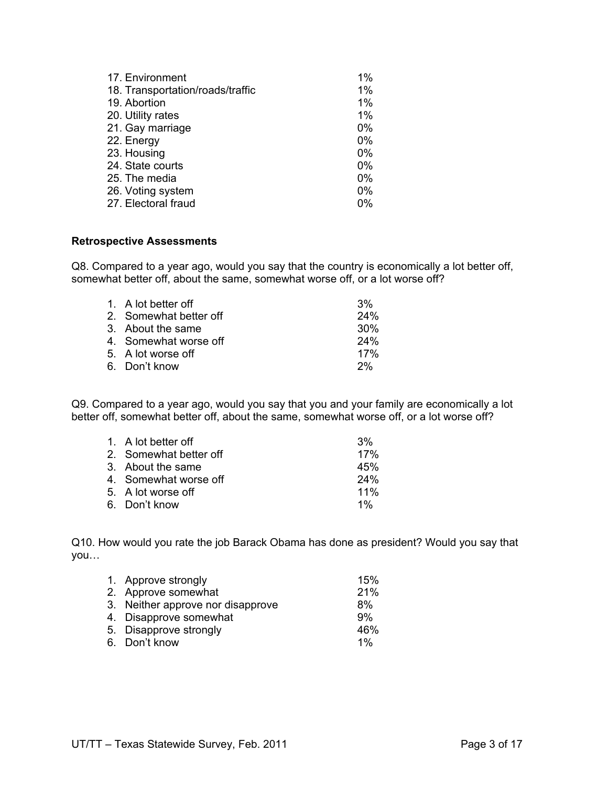| 17. Environment                  | 1%    |
|----------------------------------|-------|
| 18. Transportation/roads/traffic | 1%    |
| 19. Abortion                     | $1\%$ |
| 20. Utility rates                | 1%    |
| 21. Gay marriage                 | $0\%$ |
| 22. Energy                       | $0\%$ |
| 23. Housing                      | $0\%$ |
| 24. State courts                 | $0\%$ |
| 25. The media                    | $0\%$ |
| 26. Voting system                | $0\%$ |
| 27. Electoral fraud              | 0%    |

#### **Retrospective Assessments**

Q8. Compared to a year ago, would you say that the country is economically a lot better off, somewhat better off, about the same, somewhat worse off, or a lot worse off?

| 1. A lot better off    | 3%              |
|------------------------|-----------------|
| 2. Somewhat better off | 24%             |
| 3. About the same      | 30 <sup>%</sup> |
| 4. Somewhat worse off  | 24%             |
| 5. A lot worse off     | 17%             |
| 6. Don't know          | 2%              |
|                        |                 |

Q9. Compared to a year ago, would you say that you and your family are economically a lot better off, somewhat better off, about the same, somewhat worse off, or a lot worse off?

| 1. A lot better off    | 3%         |
|------------------------|------------|
| 2. Somewhat better off | 17%        |
| 3. About the same      | 45%        |
| 4. Somewhat worse off  | <b>24%</b> |
| 5. A lot worse off     | $11\%$     |
| 6. Don't know          | 1%         |

Q10. How would you rate the job Barack Obama has done as president? Would you say that you…

| 1. Approve strongly               | 15%   |
|-----------------------------------|-------|
| 2. Approve somewhat               | 21%   |
| 3. Neither approve nor disapprove | 8%    |
| 4. Disapprove somewhat            | 9%    |
| 5. Disapprove strongly            | 46%   |
| 6. Don't know                     | $1\%$ |
|                                   |       |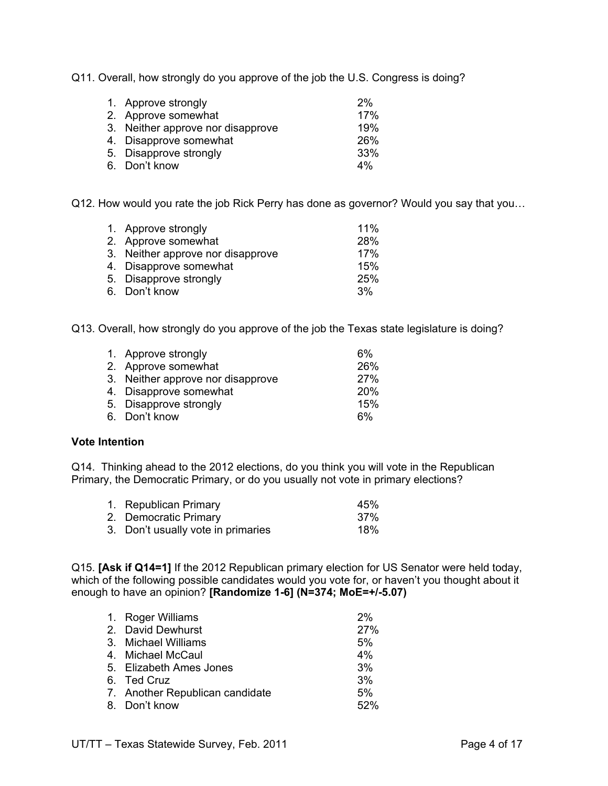Q11. Overall, how strongly do you approve of the job the U.S. Congress is doing?

| 1. Approve strongly               | 2%         |
|-----------------------------------|------------|
| 2. Approve somewhat               | 17%        |
| 3. Neither approve nor disapprove | 19%        |
| 4. Disapprove somewhat            | <b>26%</b> |
| 5. Disapprove strongly            | 33%        |
| 6. Don't know                     | 4%         |

Q12. How would you rate the job Rick Perry has done as governor? Would you say that you…

| 1. Approve strongly               | 11% |
|-----------------------------------|-----|
| 2. Approve somewhat               | 28% |
| 3. Neither approve nor disapprove | 17% |
| 4. Disapprove somewhat            | 15% |
| 5. Disapprove strongly            | 25% |
| 6. Don't know                     | 3%  |

Q13. Overall, how strongly do you approve of the job the Texas state legislature is doing?

| 1. Approve strongly               | 6%         |
|-----------------------------------|------------|
| 2. Approve somewhat               | 26%        |
| 3. Neither approve nor disapprove | <b>27%</b> |
| 4. Disapprove somewhat            | <b>20%</b> |
| 5. Disapprove strongly            | 15%        |
| 6. Don't know                     | 6%         |

## **Vote Intention**

Q14. Thinking ahead to the 2012 elections, do you think you will vote in the Republican Primary, the Democratic Primary, or do you usually not vote in primary elections?

| 1. Republican Primary              | 45%  |
|------------------------------------|------|
| 2. Democratic Primary              | .37% |
| 3. Don't usually vote in primaries | 18%  |

Q15. **[Ask if Q14=1]** If the 2012 Republican primary election for US Senator were held today, which of the following possible candidates would you vote for, or haven't you thought about it enough to have an opinion? **[Randomize 1-6] (N=374; MoE=+/-5.07)**

| 1. Roger Williams               | 2%  |
|---------------------------------|-----|
| 2. David Dewhurst               | 27% |
| 3. Michael Williams             | 5%  |
| 4. Michael McCaul               | 4%  |
| 5. Elizabeth Ames Jones         | 3%  |
| 6. Ted Cruz                     | 3%  |
| 7. Another Republican candidate | 5%  |
| 8. Don't know                   | 52% |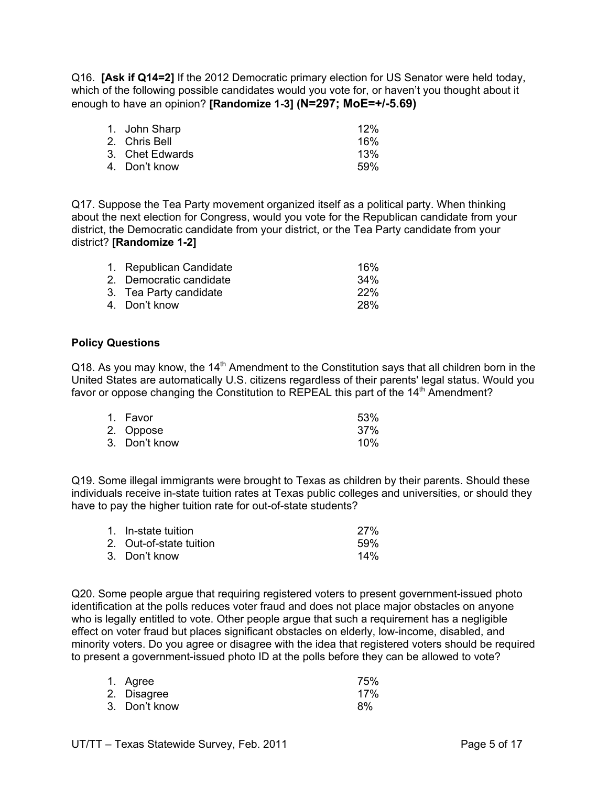Q16. **[Ask if Q14=2]** If the 2012 Democratic primary election for US Senator were held today, which of the following possible candidates would you vote for, or haven't you thought about it enough to have an opinion? **[Randomize 1-3] (N=297; MoE=+/-5.69)**

| 1. John Sharp   | 12%  |
|-----------------|------|
| 2. Chris Bell   | 16%  |
| 3. Chet Edwards | 13%  |
| 4. Don't know   | .59% |

Q17. Suppose the Tea Party movement organized itself as a political party. When thinking about the next election for Congress, would you vote for the Republican candidate from your district, the Democratic candidate from your district, or the Tea Party candidate from your district? **[Randomize 1-2]** 

| 1. Republican Candidate | 16%        |
|-------------------------|------------|
| 2. Democratic candidate | 34%        |
| 3. Tea Party candidate  | 22%        |
| 4. Don't know           | <b>28%</b> |
|                         |            |

#### **Policy Questions**

Q18. As you may know, the 14<sup>th</sup> Amendment to the Constitution says that all children born in the United States are automatically U.S. citizens regardless of their parents' legal status. Would you favor or oppose changing the Constitution to REPEAL this part of the  $14<sup>th</sup>$  Amendment?

| 1. Favor      | 53% |
|---------------|-----|
| 2. Oppose     | 37% |
| 3. Don't know | 10% |

Q19. Some illegal immigrants were brought to Texas as children by their parents. Should these individuals receive in-state tuition rates at Texas public colleges and universities, or should they have to pay the higher tuition rate for out-of-state students?

| 1. In-state tuition     | 27%    |
|-------------------------|--------|
| 2. Out-of-state tuition | .59%   |
| 3. Don't know           | $14\%$ |

Q20. Some people argue that requiring registered voters to present government-issued photo identification at the polls reduces voter fraud and does not place major obstacles on anyone who is legally entitled to vote. Other people argue that such a requirement has a negligible effect on voter fraud but places significant obstacles on elderly, low-income, disabled, and minority voters. Do you agree or disagree with the idea that registered voters should be required to present a government-issued photo ID at the polls before they can be allowed to vote?

| 1. Agree      | 75% |
|---------------|-----|
| 2. Disagree   | 17% |
| 3. Don't know | 8%  |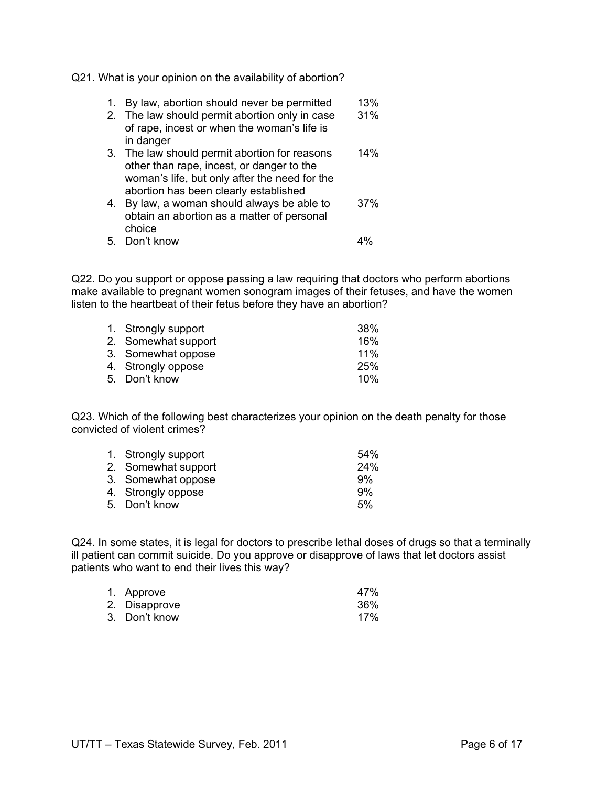Q21. What is your opinion on the availability of abortion?

- 1. By law, abortion should never be permitted 13%<br>2. The law should permit abortion only in case 31%
- 2. The law should permit abortion only in case of rape, incest or when the woman's life is in danger
- 3. The law should permit abortion for reasons 14% other than rape, incest, or danger to the woman's life, but only after the need for the abortion has been clearly established
- 4. By law, a woman should always be able to 37% obtain an abortion as a matter of personal choice
- 5. Don't know 4%

Q22. Do you support or oppose passing a law requiring that doctors who perform abortions make available to pregnant women sonogram images of their fetuses, and have the women listen to the heartbeat of their fetus before they have an abortion?

| 1. Strongly support | 38% |
|---------------------|-----|
| 2. Somewhat support | 16% |
| 3. Somewhat oppose  | 11% |
| 4. Strongly oppose  | 25% |
| 5. Don't know       | 10% |

Q23. Which of the following best characterizes your opinion on the death penalty for those convicted of violent crimes?

| 1. Strongly support | 54%        |
|---------------------|------------|
| 2. Somewhat support | <b>24%</b> |
| 3. Somewhat oppose  | 9%         |
| 4. Strongly oppose  | .9%        |
| 5. Don't know       | 5%         |

Q24. In some states, it is legal for doctors to prescribe lethal doses of drugs so that a terminally ill patient can commit suicide. Do you approve or disapprove of laws that let doctors assist patients who want to end their lives this way?

| 1. Approve    | 47% |
|---------------|-----|
| 2. Disapprove | 36% |
| 3. Don't know | 17% |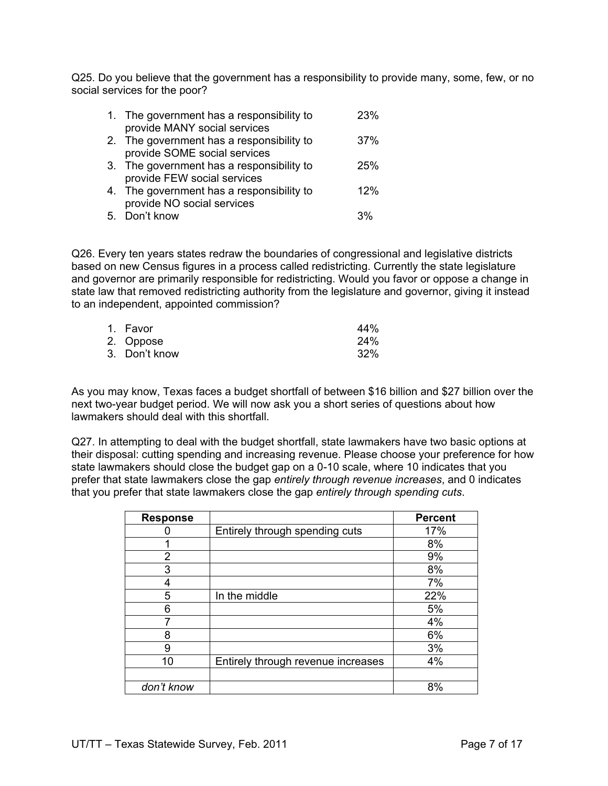Q25. Do you believe that the government has a responsibility to provide many, some, few, or no social services for the poor?

| 1. The government has a responsibility to<br>provide MANY social services | 23%        |
|---------------------------------------------------------------------------|------------|
| 2. The government has a responsibility to<br>provide SOME social services | 37%        |
| 3. The government has a responsibility to<br>provide FEW social services  | <b>25%</b> |
| 4. The government has a responsibility to<br>provide NO social services   | 12%        |
| 5. Don't know                                                             | 3%         |

Q26. Every ten years states redraw the boundaries of congressional and legislative districts based on new Census figures in a process called redistricting. Currently the state legislature and governor are primarily responsible for redistricting. Would you favor or oppose a change in state law that removed redistricting authority from the legislature and governor, giving it instead to an independent, appointed commission?

| 1. Favor      | 44% |
|---------------|-----|
| 2. Oppose     | 24% |
| 3. Don't know | 32% |

As you may know, Texas faces a budget shortfall of between \$16 billion and \$27 billion over the next two-year budget period. We will now ask you a short series of questions about how lawmakers should deal with this shortfall.

Q27. In attempting to deal with the budget shortfall, state lawmakers have two basic options at their disposal: cutting spending and increasing revenue. Please choose your preference for how state lawmakers should close the budget gap on a 0-10 scale, where 10 indicates that you prefer that state lawmakers close the gap *entirely through revenue increases*, and 0 indicates that you prefer that state lawmakers close the gap *entirely through spending cuts*.

| <b>Response</b> |                                    | <b>Percent</b> |
|-----------------|------------------------------------|----------------|
|                 | Entirely through spending cuts     | 17%            |
|                 |                                    | 8%             |
| $\overline{2}$  |                                    | 9%             |
| 3               |                                    | 8%             |
| 4               |                                    | 7%             |
| 5               | In the middle                      | 22%            |
| 6               |                                    | 5%             |
| 7               |                                    | 4%             |
| 8               |                                    | 6%             |
| 9               |                                    | 3%             |
| 10              | Entirely through revenue increases | 4%             |
|                 |                                    |                |
| don't know      |                                    | 8%             |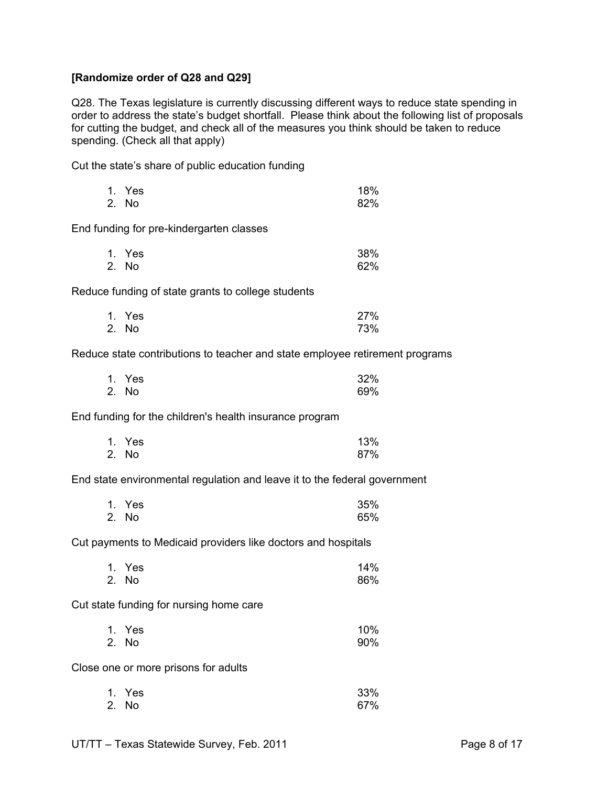## **[Randomize order of Q28 and Q29]**

Q28. The Texas legislature is currently discussing different ways to reduce state spending in order to address the state's budget shortfall. Please think about the following list of proposals for cutting the budget, and check all of the measures you think should be taken to reduce spending. (Check all that apply)

Cut the state's share of public education funding

| 1. Yes | 18% |
|--------|-----|
| 2. No  | 82% |

End funding for pre-kindergarten classes

| 1. Yes | 38% |
|--------|-----|
| 2. No  | 62% |

Reduce funding of state grants to college students

| 1. Yes | 27% |
|--------|-----|
| 2. No  | 73% |

Reduce state contributions to teacher and state employee retirement programs

| 1. Yes | 32% |
|--------|-----|
| 2. No  | 69% |

End funding for the children's health insurance program

| 1. Yes | 13% |
|--------|-----|
| 2. No  | 87% |

End state environmental regulation and leave it to the federal government

| 1. Yes | 35% |
|--------|-----|
| 2. No  | 65% |

Cut payments to Medicaid providers like doctors and hospitals

| 1. Yes | 14% |
|--------|-----|
| 2. No  | 86% |

Cut state funding for nursing home care

| 1. Yes | 10% |
|--------|-----|
| 2. No  | 90% |

Close one or more prisons for adults

| 1. Yes | 33% |
|--------|-----|
| 2. No  | 67% |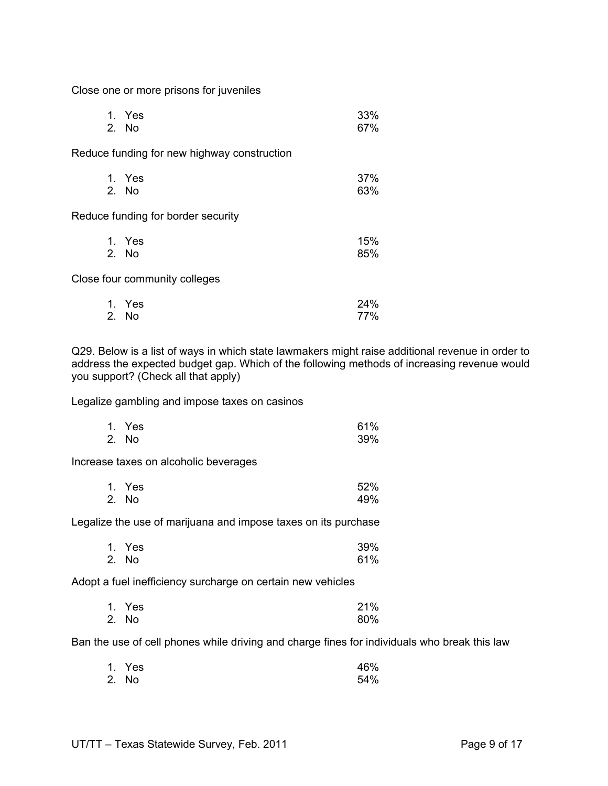Close one or more prisons for juveniles

| 1. Yes | 33% |
|--------|-----|
| 2. No  | 67% |

Reduce funding for new highway construction

| 1. Yes | 37% |
|--------|-----|
| 2. No  | 63% |

Reduce funding for border security

| 1. Yes | 15% |
|--------|-----|
| 2. No  | 85% |

Close four community colleges

| 1. Yes | 24% |
|--------|-----|
| 2. No  | 77% |

Q29. Below is a list of ways in which state lawmakers might raise additional revenue in order to address the expected budget gap. Which of the following methods of increasing revenue would you support? (Check all that apply)

Legalize gambling and impose taxes on casinos

| 1. Yes | 61% |
|--------|-----|
| 2. No  | 39% |

Increase taxes on alcoholic beverages

| 1. Yes | 52% |
|--------|-----|
| 2. No  | 49% |

Legalize the use of marijuana and impose taxes on its purchase

| 1. Yes | 39% |
|--------|-----|
| 2. No  | 61% |

Adopt a fuel inefficiency surcharge on certain new vehicles

| 1. Yes | 21% |
|--------|-----|
| 2. No  | 80% |

Ban the use of cell phones while driving and charge fines for individuals who break this law

| 1. Yes | 46% |
|--------|-----|
| 2. No  | 54% |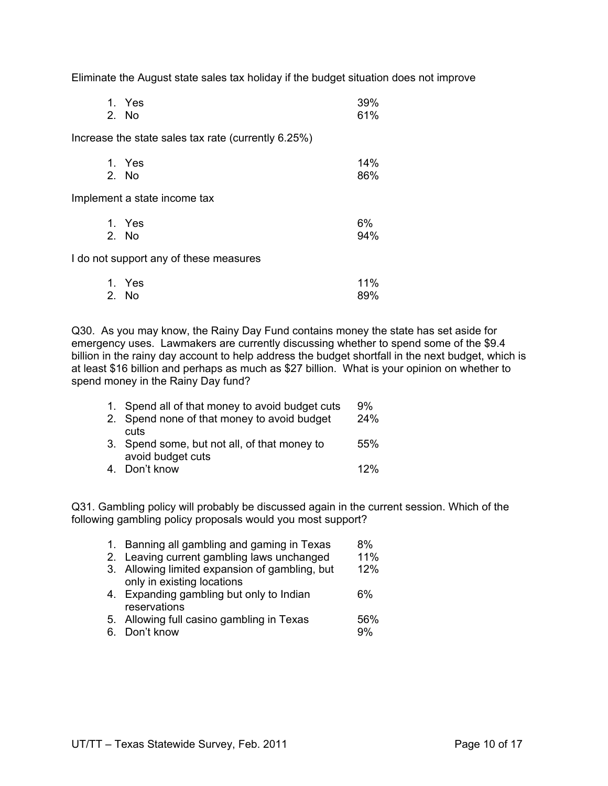Eliminate the August state sales tax holiday if the budget situation does not improve

|                              | 1. Yes<br>2. No                                     | 39%<br>61% |
|------------------------------|-----------------------------------------------------|------------|
|                              | Increase the state sales tax rate (currently 6.25%) |            |
|                              | 1. Yes<br>2. No                                     | 14%<br>86% |
| Implement a state income tax |                                                     |            |
|                              | 1. Yes<br>2. No                                     | 6%<br>94%  |
|                              | I do not support any of these measures              |            |
|                              | $\lambda$                                           | 440/       |

| 1. Yes | 11% |
|--------|-----|
| 2. No  | 89% |

Q30. As you may know, the Rainy Day Fund contains money the state has set aside for emergency uses. Lawmakers are currently discussing whether to spend some of the \$9.4 billion in the rainy day account to help address the budget shortfall in the next budget, which is at least \$16 billion and perhaps as much as \$27 billion. What is your opinion on whether to spend money in the Rainy Day fund?

| 1. Spend all of that money to avoid budget cuts | 9%  |
|-------------------------------------------------|-----|
| 2. Spend none of that money to avoid budget     | 24% |
| cuts                                            |     |
| 3. Spend some, but not all, of that money to    | 55% |
| avoid budget cuts                               |     |
| 4. Don't know                                   | 12% |

Q31. Gambling policy will probably be discussed again in the current session. Which of the following gambling policy proposals would you most support?

|    | 1. Banning all gambling and gaming in Texas    | 8%  |
|----|------------------------------------------------|-----|
|    | 2. Leaving current gambling laws unchanged     | 11% |
|    | 3. Allowing limited expansion of gambling, but | 12% |
|    | only in existing locations                     |     |
|    | 4. Expanding gambling but only to Indian       | 6%  |
|    | reservations                                   |     |
|    | 5. Allowing full casino gambling in Texas      | 56% |
| 6. | Don't know                                     | 9%  |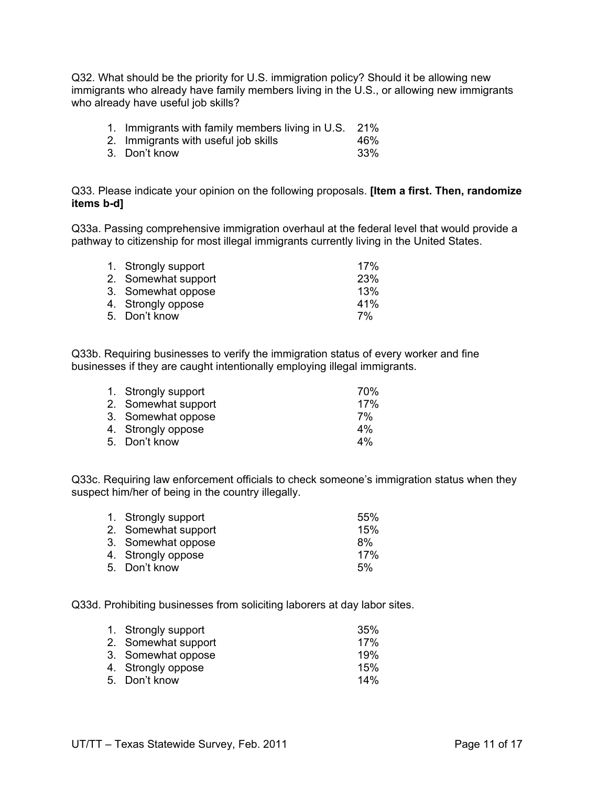Q32. What should be the priority for U.S. immigration policy? Should it be allowing new immigrants who already have family members living in the U.S., or allowing new immigrants who already have useful job skills?

| 1. Immigrants with family members living in U.S. 21% |  |  |  |
|------------------------------------------------------|--|--|--|
|                                                      |  |  |  |

- 2. Immigrants with useful job skills 46%
- 3. Don't know 33%

Q33. Please indicate your opinion on the following proposals. **[Item a first. Then, randomize items b-d]**

Q33a. Passing comprehensive immigration overhaul at the federal level that would provide a pathway to citizenship for most illegal immigrants currently living in the United States.

| 1. Strongly support | 17%        |
|---------------------|------------|
| 2. Somewhat support | <b>23%</b> |
| 3. Somewhat oppose  | 13%        |
| 4. Strongly oppose  | 41%        |
| 5. Don't know       | 7%         |
|                     |            |

Q33b. Requiring businesses to verify the immigration status of every worker and fine businesses if they are caught intentionally employing illegal immigrants.

| 1. Strongly support | 70% |
|---------------------|-----|
| 2. Somewhat support | 17% |
| 3. Somewhat oppose  | 7%  |
| 4. Strongly oppose  | 4%  |
| 5. Don't know       | 4%  |

Q33c. Requiring law enforcement officials to check someone's immigration status when they suspect him/her of being in the country illegally.

| 1. Strongly support | 55% |
|---------------------|-----|
| 2. Somewhat support | 15% |
| 3. Somewhat oppose  | 8%  |
| 4. Strongly oppose  | 17% |
| 5. Don't know       | 5%  |
|                     |     |

Q33d. Prohibiting businesses from soliciting laborers at day labor sites.

| 1. Strongly support | 35% |
|---------------------|-----|
| 2. Somewhat support | 17% |
| 3. Somewhat oppose  | 19% |
| 4. Strongly oppose  | 15% |
| 5. Don't know       | 14% |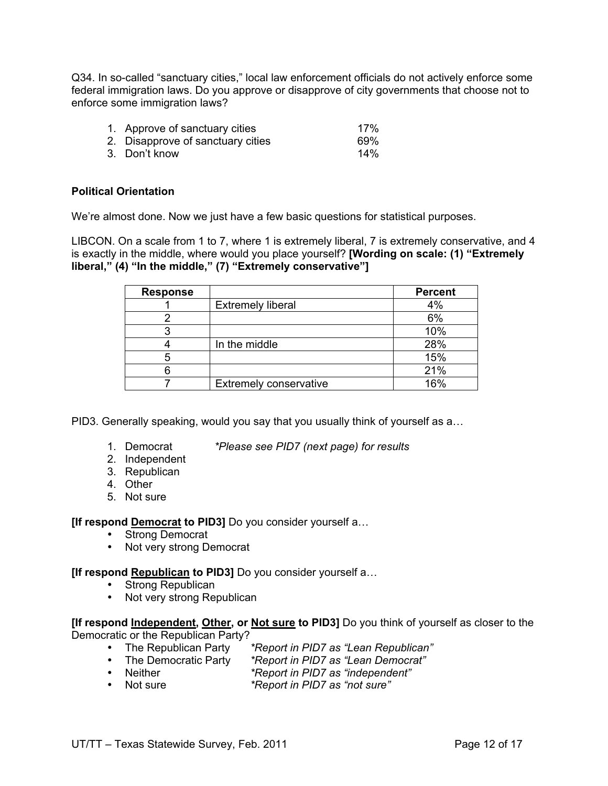Q34. In so-called "sanctuary cities," local law enforcement officials do not actively enforce some federal immigration laws. Do you approve or disapprove of city governments that choose not to enforce some immigration laws?

- 1. Approve of sanctuary cities 17%
- 2. Disapprove of sanctuary cities 69%<br>3 Don't know 14% 3. Don't know

## **Political Orientation**

We're almost done. Now we just have a few basic questions for statistical purposes.

LIBCON. On a scale from 1 to 7, where 1 is extremely liberal, 7 is extremely conservative, and 4 is exactly in the middle, where would you place yourself? **[Wording on scale: (1) "Extremely liberal," (4) "In the middle," (7) "Extremely conservative"]**

| <b>Response</b> |                               | <b>Percent</b> |
|-----------------|-------------------------------|----------------|
|                 | <b>Extremely liberal</b>      | 4%             |
|                 |                               | 6%             |
|                 |                               | 10%            |
|                 | In the middle                 | 28%            |
|                 |                               | 15%            |
|                 |                               | 21%            |
|                 | <b>Extremely conservative</b> | 16%            |

PID3. Generally speaking, would you say that you usually think of yourself as a…

- 
- 1. Democrat *\*Please see PID7 (next page) for results*
- 2. Independent
- 3. Republican
- 4. Other
- 5. Not sure

**[If respond Democrat to PID3]** Do you consider yourself a…

- Strong Democrat
- Not very strong Democrat

## **[If respond Republican to PID3]** Do you consider yourself a…

- Strong Republican
- Not very strong Republican

**[If respond Independent, Other, or Not sure to PID3]** Do you think of yourself as closer to the Democratic or the Republican Party?

- 
- The Republican Party *\*Report in PID7 as "Lean Republican"* • The Democratic Party *\*Report in PID7 as "Lean Democrat"*
- Neither *\*Report in PID7 as "independent"*
- Not sure *\*Report in PID7 as "not sure"*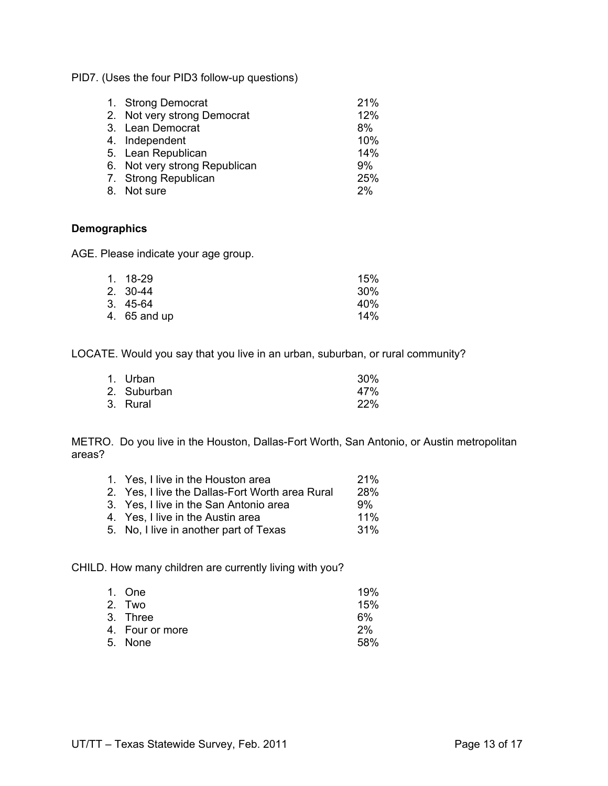PID7. (Uses the four PID3 follow-up questions)

| 1. Strong Democrat<br>2. Not very strong Democrat<br>3. Lean Democrat | 21%<br>12%<br>8% |
|-----------------------------------------------------------------------|------------------|
| 4. Independent                                                        | 10%              |
| 5. Lean Republican                                                    | 14%              |
| 6. Not very strong Republican                                         | 9%               |
| 7. Strong Republican                                                  | 25%              |
| 8. Not sure                                                           | 2%               |

#### **Demographics**

AGE. Please indicate your age group.

| 1. 18-29     | 15% |
|--------------|-----|
| 2. 30-44     | 30% |
| 3. 45-64     | 40% |
| 4. 65 and up | 14% |
|              |     |

LOCATE. Would you say that you live in an urban, suburban, or rural community?

| 1. Urban    | 30% |
|-------------|-----|
| 2. Suburban | 47% |
| 3. Rural    | 22% |

METRO. Do you live in the Houston, Dallas-Fort Worth, San Antonio, or Austin metropolitan areas?

| 1. Yes, I live in the Houston area              | 21%        |
|-------------------------------------------------|------------|
| 2. Yes, I live the Dallas-Fort Worth area Rural | <b>28%</b> |
| 3. Yes, I live in the San Antonio area          | 9%         |
| 4. Yes, I live in the Austin area               | $11\%$     |
| 5. No, I live in another part of Texas          | $.31\%$    |
|                                                 |            |

CHILD. How many children are currently living with you?

| 1. One          | 19%  |
|-----------------|------|
| 2. Two          | 15%  |
| 3. Three        | 6%   |
| 4. Four or more | 2%   |
| 5. None         | .58% |
|                 |      |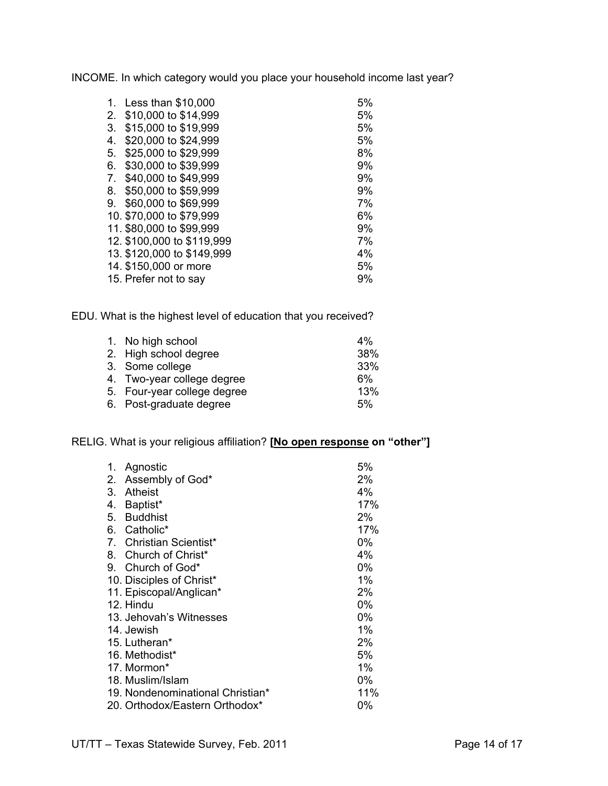INCOME. In which category would you place your household income last year?

| Less than \$10,000         | 5% |
|----------------------------|----|
| \$10,000 to \$14,999       | 5% |
| \$15,000 to \$19,999       | 5% |
| \$20,000 to \$24,999       | 5% |
| \$25,000 to \$29,999       | 8% |
| \$30,000 to \$39,999       | 9% |
| \$40,000 to \$49,999       | 9% |
| \$50,000 to \$59,999       | 9% |
| \$60,000 to \$69,999       | 7% |
| 10. \$70,000 to \$79,999   | 6% |
| 11. \$80,000 to \$99,999   | 9% |
| 12. \$100,000 to \$119,999 | 7% |
| 13. \$120,000 to \$149,999 | 4% |
| 14. \$150,000 or more      | 5% |
| 15. Prefer not to say      | 9% |
|                            |    |

EDU. What is the highest level of education that you received?

| 1. No high school           | 4%    |
|-----------------------------|-------|
| 2. High school degree       | 38%   |
| 3. Some college             | 33%   |
| 4. Two-year college degree  | $6\%$ |
| 5. Four-year college degree | 13%   |
| 6. Post-graduate degree     | 5%    |
|                             |       |

## RELIG. What is your religious affiliation? **[No open response on "other"]**

| 1. | Agnostic                         | 5%    |
|----|----------------------------------|-------|
| 2. | Assembly of God*                 | 2%    |
| 3. | <b>Atheist</b>                   | 4%    |
| 4. | Baptist*                         | 17%   |
| 5. | <b>Buddhist</b>                  | 2%    |
| 6. | Catholic*                        | 17%   |
|    | 7. Christian Scientist*          | $0\%$ |
|    | 8. Church of Christ*             | 4%    |
|    | 9. Church of God*                | 0%    |
|    | 10. Disciples of Christ*         | 1%    |
|    | 11. Episcopal/Anglican*          | $2\%$ |
|    | 12. Hindu                        | $0\%$ |
|    | 13. Jehovah's Witnesses          | $0\%$ |
|    | 14. Jewish                       | $1\%$ |
|    | 15. Lutheran*                    | 2%    |
|    | 16. Methodist*                   | 5%    |
|    | 17. Mormon*                      | $1\%$ |
|    | 18. Muslim/Islam                 | $0\%$ |
|    | 19. Nondenominational Christian* | 11%   |
|    | 20. Orthodox/Eastern Orthodox*   | 0%    |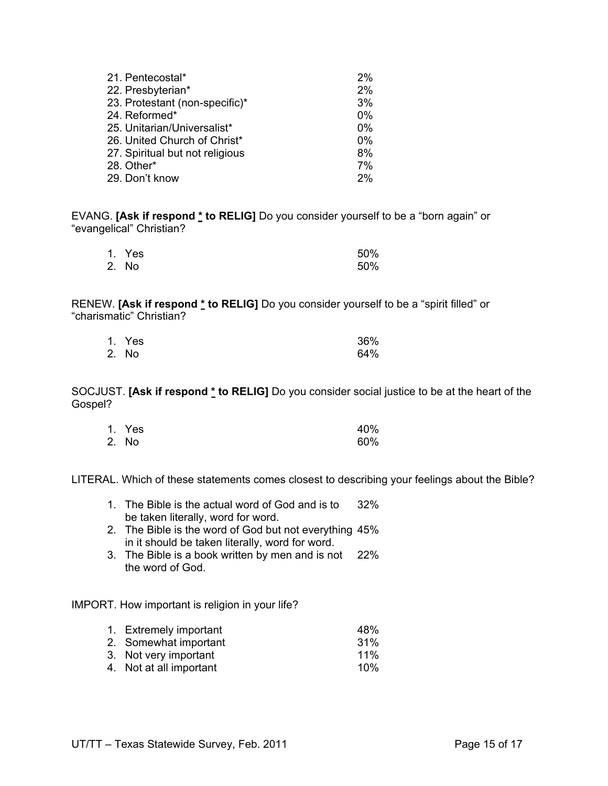| 21. Pentecostal*                | 2%    |
|---------------------------------|-------|
| 22. Presbyterian*               | 2%    |
| 23. Protestant (non-specific)*  | 3%    |
| 24. Reformed*                   | 0%    |
| 25. Unitarian/Universalist*     | 0%    |
| 26. United Church of Christ*    | $0\%$ |
| 27. Spiritual but not religious | 8%    |
| 28. Other*                      | 7%    |
| 29. Don't know                  | 2%    |

EVANG. **[Ask if respond \* to RELIG]** Do you consider yourself to be a "born again" or "evangelical" Christian?

| 1. Yes | 50% |
|--------|-----|
| 2. No  | 50% |

RENEW. **[Ask if respond \* to RELIG]** Do you consider yourself to be a "spirit filled" or "charismatic" Christian?

| 1. Yes | 36% |
|--------|-----|
| 2. No  | 64% |

SOCJUST. **[Ask if respond \* to RELIG]** Do you consider social justice to be at the heart of the Gospel?

| 1. Yes | 40% |
|--------|-----|
| 2. No  | 60% |

LITERAL. Which of these statements comes closest to describing your feelings about the Bible?

- 1. The Bible is the actual word of God and is to 32% be taken literally, word for word.
- 2. The Bible is the word of God but not everything 45% in it should be taken literally, word for word.
- 3. The Bible is a book written by men and is not 22% the word of God.

IMPORT. How important is religion in your life?

| 1. Extremely important  | 48%    |
|-------------------------|--------|
| 2. Somewhat important   | $31\%$ |
| 3. Not very important   | $11\%$ |
| 4. Not at all important | 10%    |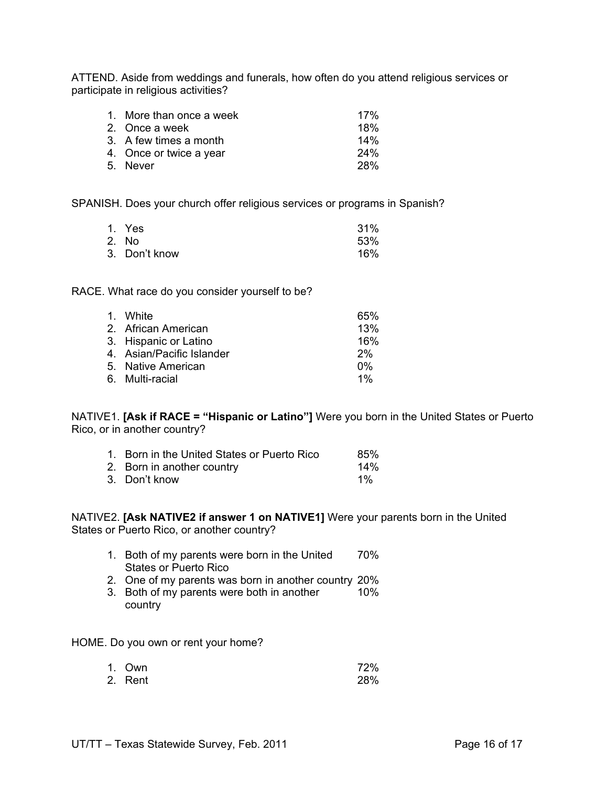ATTEND. Aside from weddings and funerals, how often do you attend religious services or participate in religious activities?

| 1. More than once a week | 17% |
|--------------------------|-----|
| 2. Once a week           | 18% |
| 3. A few times a month   | 14% |
| 4. Once or twice a year  | 24% |
| 5. Never                 | 28% |

SPANISH. Does your church offer religious services or programs in Spanish?

| 1. Yes        | 31% |
|---------------|-----|
| 2. No         | 53% |
| 3. Don't know | 16% |

RACE. What race do you consider yourself to be?

| 1. White                  | 65%   |
|---------------------------|-------|
| 2. African American       | 13%   |
| 3. Hispanic or Latino     | 16%   |
| 4. Asian/Pacific Islander | 2%    |
| 5. Native American        | $0\%$ |
| 6. Multi-racial           | $1\%$ |

NATIVE1. **[Ask if RACE = "Hispanic or Latino"]** Were you born in the United States or Puerto Rico, or in another country?

| 1. Born in the United States or Puerto Rico | 85%   |
|---------------------------------------------|-------|
| 2. Born in another country                  | 14%   |
| 3. Don't know                               | $1\%$ |

NATIVE2. **[Ask NATIVE2 if answer 1 on NATIVE1]** Were your parents born in the United States or Puerto Rico, or another country?

- 1. Both of my parents were born in the United 70% States or Puerto Rico
- 2. One of my parents was born in another country 20%
- 3. Both of my parents were both in another 10% country

HOME. Do you own or rent your home?

| 1. Own  | 72% |
|---------|-----|
| 2. Rent | 28% |